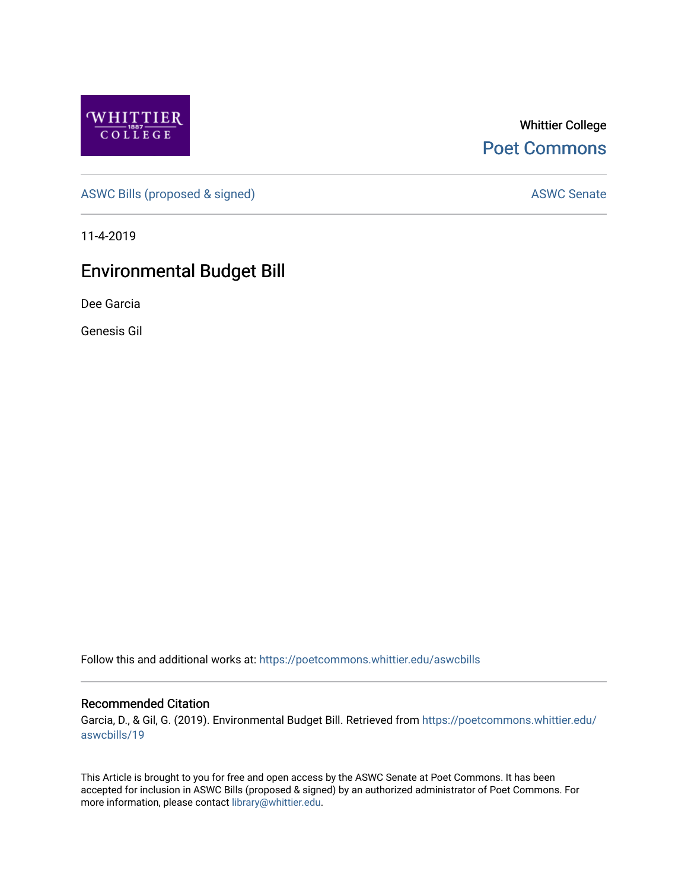

Whittier College [Poet Commons](https://poetcommons.whittier.edu/) 

[ASWC Bills \(proposed & signed\)](https://poetcommons.whittier.edu/aswcbills) ASWC Senate

11-4-2019

# Environmental Budget Bill

Dee Garcia

Genesis Gil

Follow this and additional works at: [https://poetcommons.whittier.edu/aswcbills](https://poetcommons.whittier.edu/aswcbills?utm_source=poetcommons.whittier.edu%2Faswcbills%2F19&utm_medium=PDF&utm_campaign=PDFCoverPages) 

#### Recommended Citation

Garcia, D., & Gil, G. (2019). Environmental Budget Bill. Retrieved from [https://poetcommons.whittier.edu/](https://poetcommons.whittier.edu/aswcbills/19?utm_source=poetcommons.whittier.edu%2Faswcbills%2F19&utm_medium=PDF&utm_campaign=PDFCoverPages) [aswcbills/19](https://poetcommons.whittier.edu/aswcbills/19?utm_source=poetcommons.whittier.edu%2Faswcbills%2F19&utm_medium=PDF&utm_campaign=PDFCoverPages) 

This Article is brought to you for free and open access by the ASWC Senate at Poet Commons. It has been accepted for inclusion in ASWC Bills (proposed & signed) by an authorized administrator of Poet Commons. For more information, please contact [library@whittier.edu.](mailto:library@whittier.edu)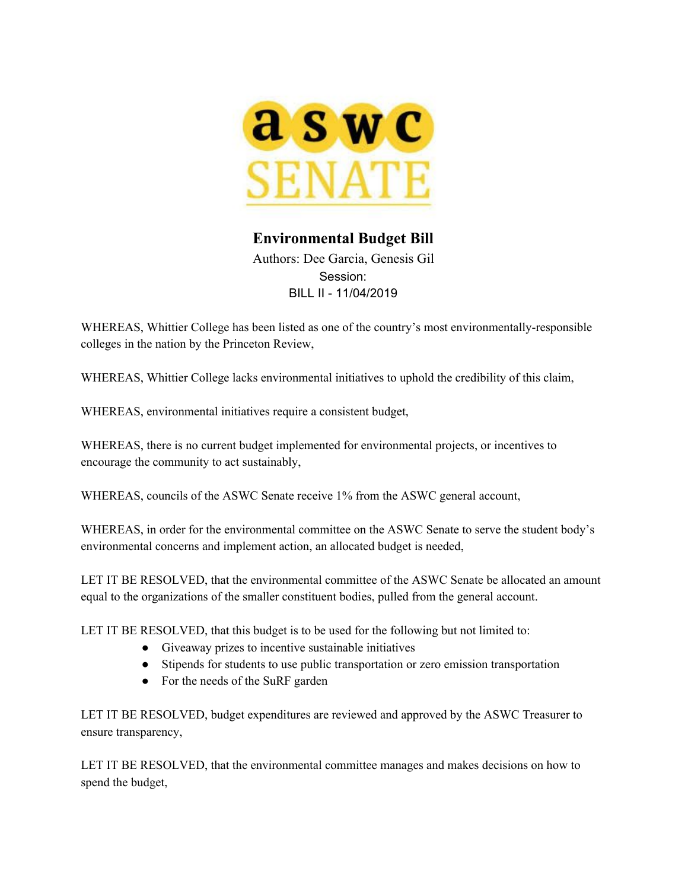

# **Environmental Budget Bill**

Authors: Dee Garcia, Genesis Gil Session: BILL II - 11/04/2019

WHEREAS, Whittier College has been listed as one of the country's most environmentally-responsible colleges in the nation by the Princeton Review,

WHEREAS, Whittier College lacks environmental initiatives to uphold the credibility of this claim,

WHEREAS, environmental initiatives require a consistent budget,

WHEREAS, there is no current budget implemented for environmental projects, or incentives to encourage the community to act sustainably,

WHEREAS, councils of the ASWC Senate receive 1% from the ASWC general account,

WHEREAS, in order for the environmental committee on the ASWC Senate to serve the student body's environmental concerns and implement action, an allocated budget is needed,

LET IT BE RESOLVED, that the environmental committee of the ASWC Senate be allocated an amount equal to the organizations of the smaller constituent bodies, pulled from the general account.

LET IT BE RESOLVED, that this budget is to be used for the following but not limited to:

- Giveaway prizes to incentive sustainable initiatives
- Stipends for students to use public transportation or zero emission transportation
- For the needs of the SuRF garden

LET IT BE RESOLVED, budget expenditures are reviewed and approved by the ASWC Treasurer to ensure transparency,

LET IT BE RESOLVED, that the environmental committee manages and makes decisions on how to spend the budget,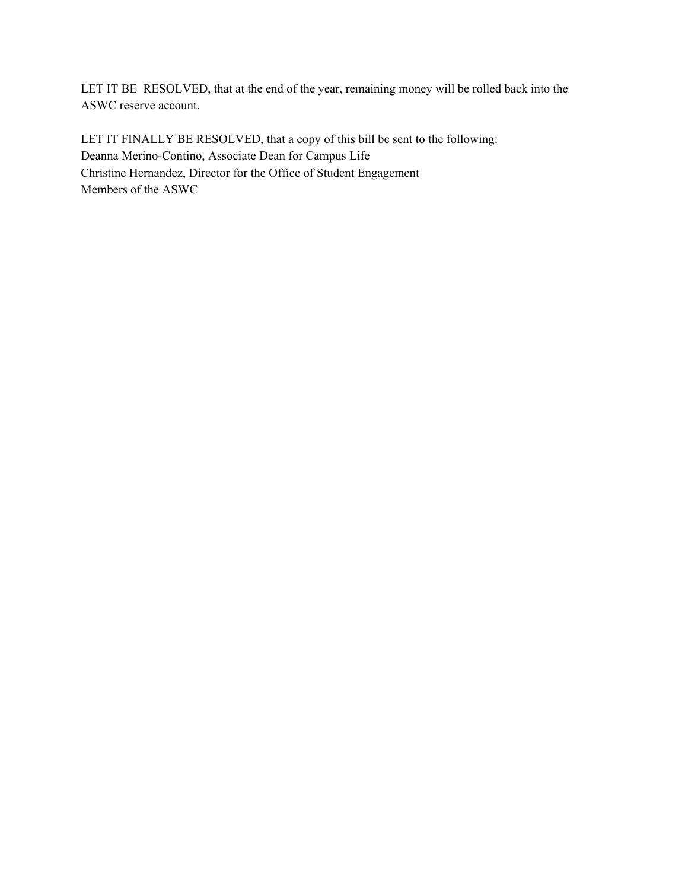LET IT BE RESOLVED, that at the end of the year, remaining money will be rolled back into the ASWC reserve account.

LET IT FINALLY BE RESOLVED, that a copy of this bill be sent to the following: Deanna Merino-Contino, Associate Dean for Campus Life Christine Hernandez, Director for the Office of Student Engagement Members of the ASWC